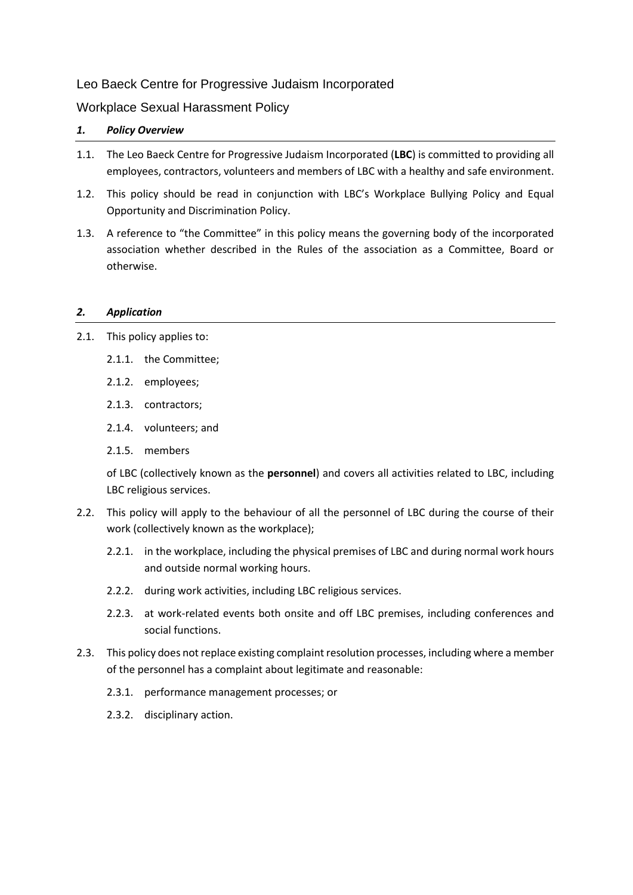# Leo Baeck Centre for Progressive Judaism Incorporated

# Workplace Sexual Harassment Policy

# *1. Policy Overview*

- 1.1. The Leo Baeck Centre for Progressive Judaism Incorporated (**LBC**) is committed to providing all employees, contractors, volunteers and members of LBC with a healthy and safe environment.
- 1.2. This policy should be read in conjunction with LBC's Workplace Bullying Policy and Equal Opportunity and Discrimination Policy.
- 1.3. A reference to "the Committee" in this policy means the governing body of the incorporated association whether described in the Rules of the association as a Committee, Board or otherwise.

## *2. Application*

- 2.1. This policy applies to:
	- 2.1.1. the Committee;
	- 2.1.2. employees;
	- 2.1.3. contractors;
	- 2.1.4. volunteers; and
	- 2.1.5. members

of LBC (collectively known as the **personnel**) and covers all activities related to LBC, including LBC religious services.

- 2.2. This policy will apply to the behaviour of all the personnel of LBC during the course of their work (collectively known as the workplace);
	- 2.2.1. in the workplace, including the physical premises of LBC and during normal work hours and outside normal working hours.
	- 2.2.2. during work activities, including LBC religious services.
	- 2.2.3. at work-related events both onsite and off LBC premises, including conferences and social functions.
- 2.3. This policy does not replace existing complaint resolution processes, including where a member of the personnel has a complaint about legitimate and reasonable:
	- 2.3.1. performance management processes; or
	- 2.3.2. disciplinary action.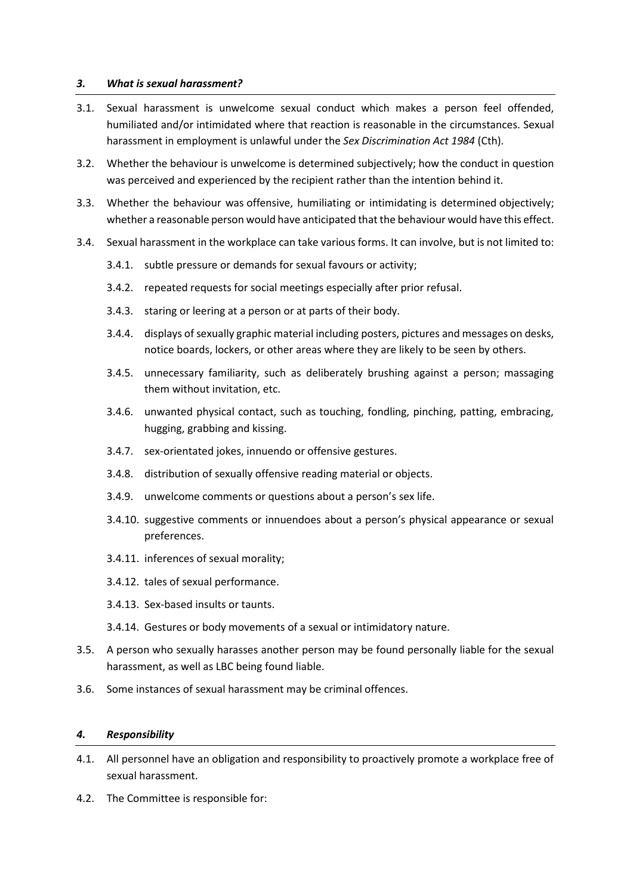### *3. What is sexual harassment?*

- 3.1. Sexual harassment is unwelcome sexual conduct which makes a person feel offended, humiliated and/or intimidated where that reaction is reasonable in the circumstances. Sexual harassment in employment is unlawful under the *Sex Discrimination Act 1984* (Cth).
- 3.2. Whether the behaviour is unwelcome is determined subjectively; how the conduct in question was perceived and experienced by the recipient rather than the intention behind it.
- 3.3. Whether the behaviour was offensive, humiliating or intimidating is determined objectively; whether a reasonable person would have anticipated that the behaviour would have this effect.
- 3.4. Sexual harassment in the workplace can take various forms. It can involve, but is not limited to:
	- 3.4.1. subtle pressure or demands for sexual favours or activity;
	- 3.4.2. repeated requests for social meetings especially after prior refusal.
	- 3.4.3. staring or leering at a person or at parts of their body.
	- 3.4.4. displays of sexually graphic material including posters, pictures and messages on desks, notice boards, lockers, or other areas where they are likely to be seen by others.
	- 3.4.5. unnecessary familiarity, such as deliberately brushing against a person; massaging them without invitation, etc.
	- 3.4.6. unwanted physical contact, such as touching, fondling, pinching, patting, embracing, hugging, grabbing and kissing.
	- 3.4.7. sex-orientated jokes, innuendo or offensive gestures.
	- 3.4.8. distribution of sexually offensive reading material or objects.
	- 3.4.9. unwelcome comments or questions about a person's sex life.
	- 3.4.10. suggestive comments or innuendoes about a person's physical appearance or sexual preferences.
	- 3.4.11. inferences of sexual morality;
	- 3.4.12. tales of sexual performance.
	- 3.4.13. Sex-based insults or taunts.
	- 3.4.14. Gestures or body movements of a sexual or intimidatory nature.
- 3.5. A person who sexually harasses another person may be found personally liable for the sexual harassment, as well as LBC being found liable.
- 3.6. Some instances of sexual harassment may be criminal offences.

#### *4. Responsibility*

- 4.1. All personnel have an obligation and responsibility to proactively promote a workplace free of sexual harassment.
- 4.2. The Committee is responsible for: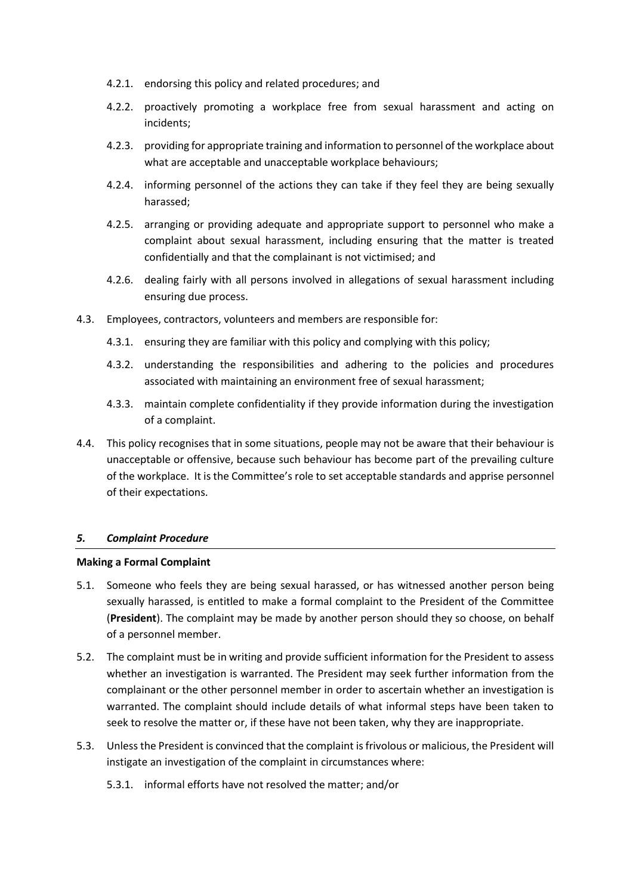- 4.2.1. endorsing this policy and related procedures; and
- 4.2.2. proactively promoting a workplace free from sexual harassment and acting on incidents;
- 4.2.3. providing for appropriate training and information to personnel of the workplace about what are acceptable and unacceptable workplace behaviours;
- 4.2.4. informing personnel of the actions they can take if they feel they are being sexually harassed;
- 4.2.5. arranging or providing adequate and appropriate support to personnel who make a complaint about sexual harassment, including ensuring that the matter is treated confidentially and that the complainant is not victimised; and
- 4.2.6. dealing fairly with all persons involved in allegations of sexual harassment including ensuring due process.
- 4.3. Employees, contractors, volunteers and members are responsible for:
	- 4.3.1. ensuring they are familiar with this policy and complying with this policy;
	- 4.3.2. understanding the responsibilities and adhering to the policies and procedures associated with maintaining an environment free of sexual harassment;
	- 4.3.3. maintain complete confidentiality if they provide information during the investigation of a complaint.
- 4.4. This policy recognises that in some situations, people may not be aware that their behaviour is unacceptable or offensive, because such behaviour has become part of the prevailing culture of the workplace. It is the Committee's role to set acceptable standards and apprise personnel of their expectations.

### *5. Complaint Procedure*

### **Making a Formal Complaint**

- 5.1. Someone who feels they are being sexual harassed, or has witnessed another person being sexually harassed, is entitled to make a formal complaint to the President of the Committee (**President**). The complaint may be made by another person should they so choose, on behalf of a personnel member.
- 5.2. The complaint must be in writing and provide sufficient information for the President to assess whether an investigation is warranted. The President may seek further information from the complainant or the other personnel member in order to ascertain whether an investigation is warranted. The complaint should include details of what informal steps have been taken to seek to resolve the matter or, if these have not been taken, why they are inappropriate.
- 5.3. Unless the President is convinced that the complaint is frivolous or malicious, the President will instigate an investigation of the complaint in circumstances where:
	- 5.3.1. informal efforts have not resolved the matter; and/or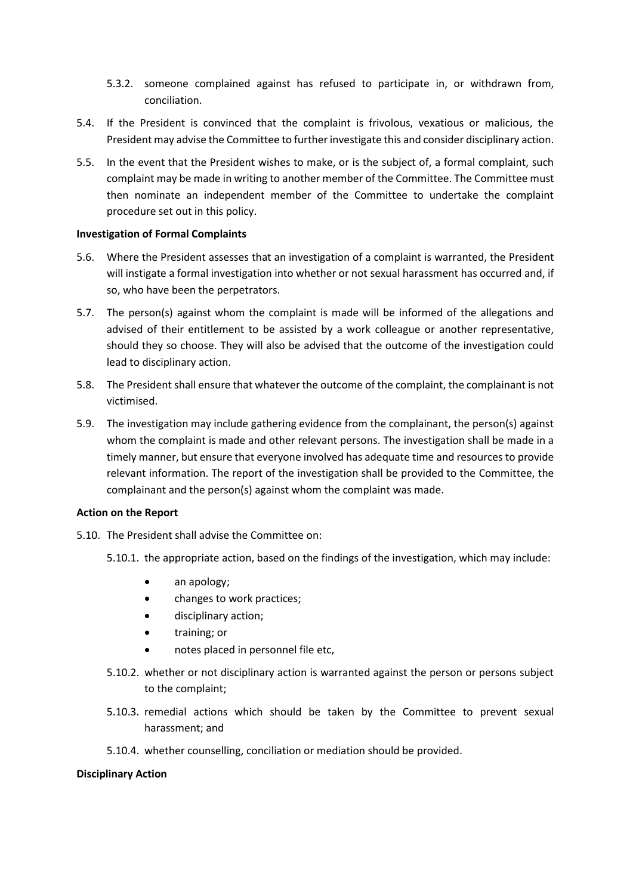- 5.3.2. someone complained against has refused to participate in, or withdrawn from, conciliation.
- 5.4. If the President is convinced that the complaint is frivolous, vexatious or malicious, the President may advise the Committee to further investigate this and consider disciplinary action.
- 5.5. In the event that the President wishes to make, or is the subject of, a formal complaint, such complaint may be made in writing to another member of the Committee. The Committee must then nominate an independent member of the Committee to undertake the complaint procedure set out in this policy.

### **Investigation of Formal Complaints**

- 5.6. Where the President assesses that an investigation of a complaint is warranted, the President will instigate a formal investigation into whether or not sexual harassment has occurred and, if so, who have been the perpetrators.
- 5.7. The person(s) against whom the complaint is made will be informed of the allegations and advised of their entitlement to be assisted by a work colleague or another representative, should they so choose. They will also be advised that the outcome of the investigation could lead to disciplinary action.
- 5.8. The President shall ensure that whatever the outcome of the complaint, the complainant is not victimised.
- 5.9. The investigation may include gathering evidence from the complainant, the person(s) against whom the complaint is made and other relevant persons. The investigation shall be made in a timely manner, but ensure that everyone involved has adequate time and resources to provide relevant information. The report of the investigation shall be provided to the Committee, the complainant and the person(s) against whom the complaint was made.

#### **Action on the Report**

- 5.10. The President shall advise the Committee on:
	- 5.10.1. the appropriate action, based on the findings of the investigation, which may include:
		- an apology;
		- changes to work practices;
		- disciplinary action;
		- training; or
		- notes placed in personnel file etc,
	- 5.10.2. whether or not disciplinary action is warranted against the person or persons subject to the complaint;
	- 5.10.3. remedial actions which should be taken by the Committee to prevent sexual harassment; and
	- 5.10.4. whether counselling, conciliation or mediation should be provided.

#### **Disciplinary Action**